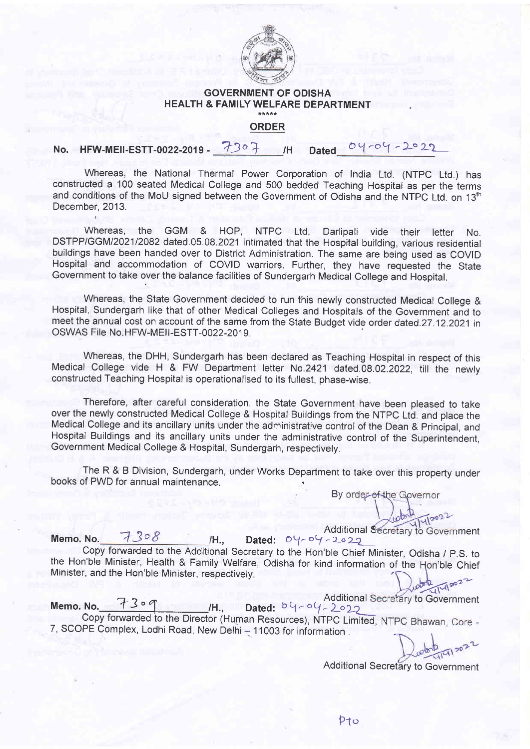

## GOVERNMENT OF ODISHA HEALTH & FAMILY WELFARE DEPARTMENT

## ORDER<sub></sub>

## No. HFW-MEII-ESTT-0022-2019 - 7307 /H Dated 04-04-2022 IH

Whereas, the National Thermal Power Corporation of India Ltd. (NTPC Ltd.) has constructed a 100 seated Medical College and 500 bedded Teaching Hospital as per the terms and conditions of the MoU signed between the Government of Odisha and the NTPC Ltd. on 13<sup>th</sup> December, 2013.

Whereas, the GGM & HOP, NTPC Ltd, Darlipali vide their letter No. DSTPP/GGM1202112082 dated.05.08.2021 intimated that the Hospital building, various residential buildings have been handed over to District Administration. The same are being used as COVID Hospital and accommodation of COVID warriors. Further, they have requested the State Government to take over the balance facilities of Sundergarh Medical College and Hospital.

Whereas, the State Government decided to run this newly constructed Medical College & Hospital, Sundergarh like that of other Medical Colleges and Hospitals of the Government and to meet the annual cost on account of the same from the State Budget vide order dated.27.12.2021 in OSWAS File No.HFW-MEII-ESTT-0022-2019.

Whereas, the DHH, Sundergarh has been declared as Teaching Hospital in respect of this Medical College vide H & FW Depaftment letter No.2421 dated.08.02.2022, till the newty constructed Teaehing Hospital is operationalised to its fullest, phase-wise.

Therefore, after careful consideration, the State Government have been pleased to take over the newly constructed Medical College & Hospital Buildings from the NTPC Ltd. and place the Medical College and its ancillary units under the administrative control of the Dean & Principal, and Hospital Buildings and its ancillary units under the administrative control of the Superintendent, Government Medical College & Hospital, Sundergarh, respectively.

The R & B Division, Sundergarh, under Works Department to take over this property under books of PWD for annual maintenance.

By order of the Governor

Memo. No. H.. Additional Secretary to Government Dated:  $04 - 04 - 2029$ 

the Hon'ble Minister, Health & Family Welfare, Odisha for kind information of the Hon'ble Chief Minister, and the Hon'ble Minister, respectively.

Additional Secretary to Governme Memo. No.  $73 \circ 9$ <br>Memo. No.  $73 \circ 9$  /H., Dated:  $09 - 09 - 202$  Additional Secretary to Government Copy forwarded to the Director (Human Resources), NTPC Limited 7, SCOPE Complex, Lodhi Road, New Delhi - 11003 for information .

Additional Secretary to Government